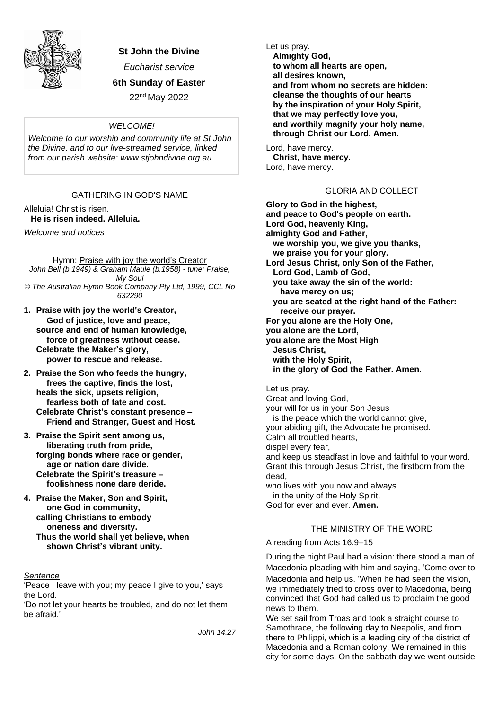

**St John the Divine**

*Eucharist service*

**6th Sunday of Easter**

22nd May 2022

### *WELCOME!*

*Welcome to our worship and community life at St John the Divine, and to our live-streamed service, linked from our parish website: www.stjohndivine.org.au*

# GATHERING IN GOD'S NAME

Alleluia! Christ is risen. **He is risen indeed. Alleluia.**

*Welcome and notices*

Hymn: Praise with joy the world's Creator *John Bell (b.1949) & Graham Maule (b.1958) - tune: Praise, My Soul © The Australian Hymn Book Company Pty Ltd, 1999, CCL No 632290*

- **1. Praise with joy the world**'**s Creator, God of justice, love and peace, source and end of human knowledge, force of greatness without cease. Celebrate the Maker's glory, power to rescue and release.**
- **2. Praise the Son who feeds the hungry, frees the captive, finds the lost, heals the sick, upsets religion, fearless both of fate and cost. Celebrate Christ's constant presence – Friend and Stranger, Guest and Host.**
- **3. Praise the Spirit sent among us, liberating truth from pride, forging bonds where race or gender, age or nation dare divide. Celebrate the Spirit's treasure – foolishness none dare deride.**
- **4. Praise the Maker, Son and Spirit, one God in community, calling Christians to embody oneness and diversity.**
	- **Thus the world shall yet believe, when shown Christ's vibrant unity.**

### *Sentence*

'Peace I leave with you; my peace I give to you,' says the Lord.

'Do not let your hearts be troubled, and do not let them be afraid.'

*John 14.27*

Let us pray.  **Almighty God, to whom all hearts are open, all desires known, and from whom no secrets are hidden: cleanse the thoughts of our hearts by the inspiration of your Holy Spirit, that we may perfectly love you, and worthily magnify your holy name, through Christ our Lord. Amen.**

Lord, have mercy. **Christ, have mercy.** Lord, have mercy.

# GLORIA AND COLLECT

**Glory to God in the highest, and peace to God's people on earth. Lord God, heavenly King, almighty God and Father, we worship you, we give you thanks, we praise you for your glory. Lord Jesus Christ, only Son of the Father, Lord God, Lamb of God, you take away the sin of the world: have mercy on us; you are seated at the right hand of the Father: receive our prayer. For you alone are the Holy One, you alone are the Lord, you alone are the Most High Jesus Christ, with the Holy Spirit, in the glory of God the Father. Amen.**

Let us pray. Great and loving God, your will for us in your Son Jesus is the peace which the world cannot give, your abiding gift, the Advocate he promised. Calm all troubled hearts, dispel every fear, and keep us steadfast in love and faithful to your word. Grant this through Jesus Christ, the firstborn from the dead, who lives with you now and always in the unity of the Holy Spirit, God for ever and ever. **Amen.**

### THE MINISTRY OF THE WORD

A reading from Acts 16.9–15

During the night Paul had a vision: there stood a man of Macedonia pleading with him and saying, 'Come over to Macedonia and help us. 'When he had seen the vision, we immediately tried to cross over to Macedonia, being convinced that God had called us to proclaim the good news to them.

We set sail from Troas and took a straight course to Samothrace, the following day to Neapolis, and from there to Philippi, which is a leading city of the district of Macedonia and a Roman colony. We remained in this city for some days. On the sabbath day we went outside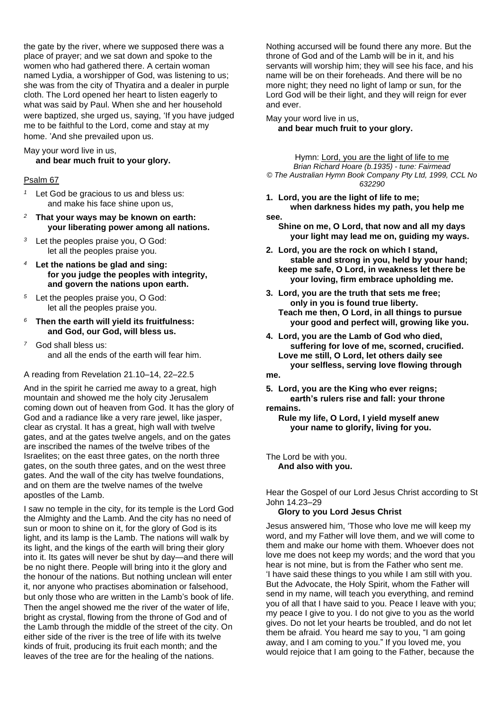the gate by the river, where we supposed there was a place of prayer; and we sat down and spoke to the women who had gathered there. A certain woman named Lydia, a worshipper of God, was listening to us; she was from the city of Thyatira and a dealer in purple cloth. The Lord opened her heart to listen eagerly to what was said by Paul. When she and her household were baptized, she urged us, saying, 'If you have judged me to be faithful to the Lord, come and stay at my home. 'And she prevailed upon us.

May your word live in us,

### **and bear much fruit to your glory.**

### Psalm 67

- *<sup>1</sup>* Let God be gracious to us and bless us: and make his face shine upon us,
- *<sup>2</sup>* **That your ways may be known on earth: your liberating power among all nations.**
- *<sup>3</sup>* Let the peoples praise you, O God: let all the peoples praise you.
- *<sup>4</sup>* **Let the nations be glad and sing: for you judge the peoples with integrity, and govern the nations upon earth.**
- *<sup>5</sup>* Let the peoples praise you, O God: let all the peoples praise you.
- *<sup>6</sup>* **Then the earth will yield its fruitfulness: and God, our God, will bless us.**
- *<sup>7</sup>* God shall bless us: and all the ends of the earth will fear him.

#### A reading from Revelation 21.10–14, 22–22.5

And in the spirit he carried me away to a great, high mountain and showed me the holy city Jerusalem coming down out of heaven from God. It has the glory of God and a radiance like a very rare jewel, like jasper, clear as crystal. It has a great, high wall with twelve gates, and at the gates twelve angels, and on the gates are inscribed the names of the twelve tribes of the Israelites; on the east three gates, on the north three gates, on the south three gates, and on the west three gates. And the wall of the city has twelve foundations, and on them are the twelve names of the twelve apostles of the Lamb.

I saw no temple in the city, for its temple is the Lord God the Almighty and the Lamb. And the city has no need of sun or moon to shine on it, for the glory of God is its light, and its lamp is the Lamb. The nations will walk by its light, and the kings of the earth will bring their glory into it. Its gates will never be shut by day—and there will be no night there. People will bring into it the glory and the honour of the nations. But nothing unclean will enter it, nor anyone who practises abomination or falsehood, but only those who are written in the Lamb's book of life. Then the angel showed me the river of the water of life, bright as crystal, flowing from the throne of God and of the Lamb through the middle of the street of the city. On either side of the river is the tree of life with its twelve kinds of fruit, producing its fruit each month; and the leaves of the tree are for the healing of the nations.

Nothing accursed will be found there any more. But the throne of God and of the Lamb will be in it, and his servants will worship him; they will see his face, and his name will be on their foreheads. And there will be no more night; they need no light of lamp or sun, for the Lord God will be their light, and they will reign for ever and ever.

May your word live in us, **and bear much fruit to your glory.**

Hymn: Lord, you are the light of life to me *Brian Richard Hoare (b.1935) - tune: Fairmead © The Australian Hymn Book Company Pty Ltd, 1999, CCL No 632290*

- **1. Lord, you are the light of life to me; when darkness hides my path, you help me see.**
	- **Shine on me, O Lord, that now and all my days your light may lead me on, guiding my ways.**
- **2. Lord, you are the rock on which I stand, stable and strong in you, held by your hand; keep me safe, O Lord, in weakness let there be your loving, firm embrace upholding me.**
- **3. Lord, you are the truth that sets me free; only in you is found true liberty. Teach me then, O Lord, in all things to pursue your good and perfect will, growing like you.**
- **4. Lord, you are the Lamb of God who died, suffering for love of me, scorned, crucified. Love me still, O Lord, let others daily see your selfless, serving love flowing through**

**me.**

**5. Lord, you are the King who ever reigns; earth's rulers rise and fall: your throne remains.**

**Rule my life, O Lord, I yield myself anew your name to glorify, living for you.**

The Lord be with you. **And also with you.**

Hear the Gospel of our Lord Jesus Christ according to St John 14.23–29

#### **Glory to you Lord Jesus Christ**

Jesus answered him, 'Those who love me will keep my word, and my Father will love them, and we will come to them and make our home with them. Whoever does not love me does not keep my words; and the word that you hear is not mine, but is from the Father who sent me. 'I have said these things to you while I am still with you. But the Advocate, the Holy Spirit, whom the Father will send in my name, will teach you everything, and remind you of all that I have said to you. Peace I leave with you; my peace I give to you. I do not give to you as the world gives. Do not let your hearts be troubled, and do not let them be afraid. You heard me say to you, "I am going away, and I am coming to you." If you loved me, you would rejoice that I am going to the Father, because the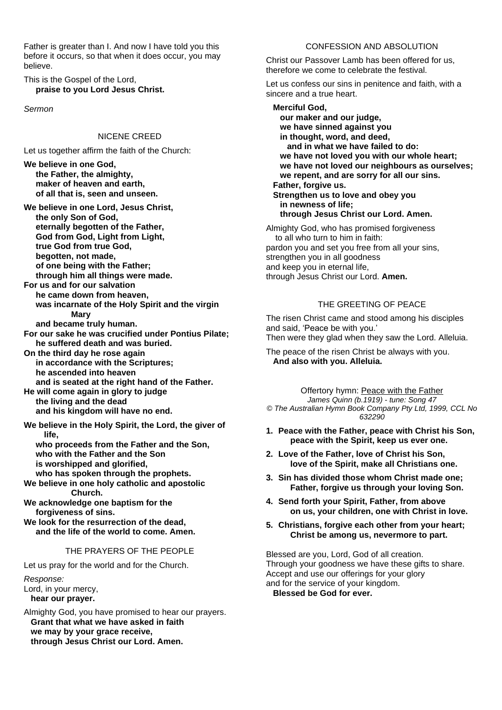Father is greater than I. And now I have told you this before it occurs, so that when it does occur, you may believe.

This is the Gospel of the Lord, **praise to you Lord Jesus Christ.**

*Sermon*

### NICENE CREED

Let us together affirm the faith of the Church:

**We believe in one God, the Father, the almighty, maker of heaven and earth, of all that is, seen and unseen.**

**We believe in one Lord, Jesus Christ, the only Son of God, eternally begotten of the Father, God from God, Light from Light, true God from true God, begotten, not made, of one being with the Father; through him all things were made.**

**For us and for our salvation he came down from heaven, was incarnate of the Holy Spirit and the virgin Mary**

**and became truly human.**

- **For our sake he was crucified under Pontius Pilate; he suffered death and was buried.**
- **On the third day he rose again in accordance with the Scriptures; he ascended into heaven and is seated at the right hand of the Father.**

**He will come again in glory to judge the living and the dead and his kingdom will have no end.**

**We believe in the Holy Spirit, the Lord, the giver of life,**

**who proceeds from the Father and the Son, who with the Father and the Son is worshipped and glorified,**

**who has spoken through the prophets. We believe in one holy catholic and apostolic Church.**

**We acknowledge one baptism for the forgiveness of sins.**

**We look for the resurrection of the dead, and the life of the world to come. Amen.**

### THE PRAYERS OF THE PEOPLE

Let us pray for the world and for the Church.

*Response:* Lord, in your mercy,  **hear our prayer.**

Almighty God, you have promised to hear our prayers.  **Grant that what we have asked in faith we may by your grace receive, through Jesus Christ our Lord. Amen.**

### CONFESSION AND ABSOLUTION

Christ our Passover Lamb has been offered for us, therefore we come to celebrate the festival.

Let us confess our sins in penitence and faith, with a sincere and a true heart.

 **Merciful God, our maker and our judge, we have sinned against you in thought, word, and deed, and in what we have failed to do: we have not loved you with our whole heart; we have not loved our neighbours as ourselves; we repent, and are sorry for all our sins. Father, forgive us. Strengthen us to love and obey you in newness of life; through Jesus Christ our Lord. Amen.** Almighty God, who has promised forgiveness to all who turn to him in faith: pardon you and set you free from all your sins, strengthen you in all goodness and keep you in eternal life, through Jesus Christ our Lord. **Amen.**

### THE GREETING OF PEACE

The risen Christ came and stood among his disciples and said, 'Peace be with you.' Then were they glad when they saw the Lord. Alleluia.

The peace of the risen Christ be always with you.  **And also with you. Alleluia.**

Offertory hymn: Peace with the Father

*James Quinn (b.1919) - tune: Song 47 © The Australian Hymn Book Company Pty Ltd, 1999, CCL No 632290*

- **1. Peace with the Father, peace with Christ his Son, peace with the Spirit, keep us ever one.**
- **2. Love of the Father, love of Christ his Son, love of the Spirit, make all Christians one.**
- **3. Sin has divided those whom Christ made one; Father, forgive us through your loving Son.**
- **4. Send forth your Spirit, Father, from above on us, your children, one with Christ in love.**
- **5. Christians, forgive each other from your heart; Christ be among us, nevermore to part.**

Blessed are you, Lord, God of all creation. Through your goodness we have these gifts to share. Accept and use our offerings for your glory and for the service of your kingdom.  **Blessed be God for ever.**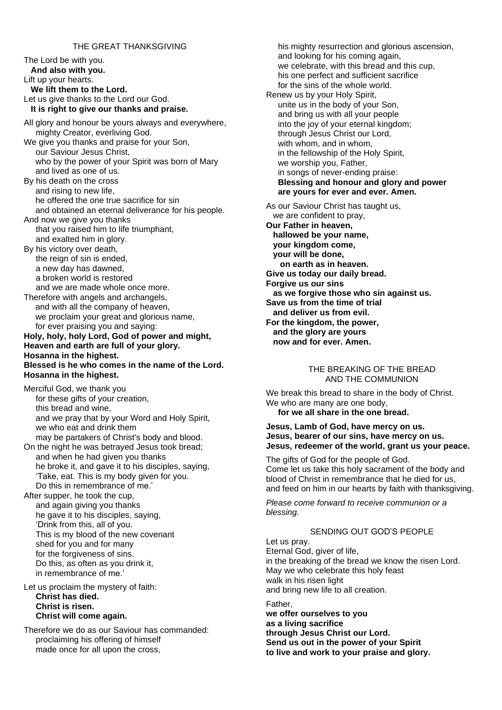### THE GREAT THANKSGIVING

The Lord be with you.  **And also with you.** Lift up your hearts.  **We lift them to the Lord.** Let us give thanks to the Lord our God.  **It is right to give our thanks and praise.** All glory and honour be yours always and everywhere, mighty Creator, everliving God. We give you thanks and praise for your Son, our Saviour Jesus Christ, who by the power of your Spirit was born of Mary and lived as one of us. By his death on the cross and rising to new life, he offered the one true sacrifice for sin and obtained an eternal deliverance for his people. And now we give you thanks that you raised him to life triumphant, and exalted him in glory. By his victory over death, the reign of sin is ended, a new day has dawned, a broken world is restored and we are made whole once more. Therefore with angels and archangels, and with all the company of heaven, we proclaim your great and glorious name, for ever praising you and saying: **Holy, holy, holy Lord, God of power and might, Heaven and earth are full of your glory. Hosanna in the highest. Blessed is he who comes in the name of the Lord. Hosanna in the highest.** Merciful God, we thank you for these gifts of your creation, this bread and wine, and we pray that by your Word and Holy Spirit, we who eat and drink them may be partakers of Christ's body and blood. On the night he was betrayed Jesus took bread; and when he had given you thanks he broke it, and gave it to his disciples, saying, 'Take, eat. This is my body given for you. Do this in remembrance of me.' After supper, he took the cup,

and again giving you thanks he gave it to his disciples, saying, 'Drink from this, all of you. This is my blood of the new covenant shed for you and for many for the forgiveness of sins. Do this, as often as you drink it, in remembrance of me.'

Let us proclaim the mystery of faith: **Christ has died. Christ is risen. Christ will come again.**

Therefore we do as our Saviour has commanded: proclaiming his offering of himself made once for all upon the cross,

his mighty resurrection and glorious ascension, and looking for his coming again, we celebrate, with this bread and this cup, his one perfect and sufficient sacrifice for the sins of the whole world. Renew us by your Holy Spirit, unite us in the body of your Son, and bring us with all your people into the joy of your eternal kingdom; through Jesus Christ our Lord, with whom, and in whom, in the fellowship of the Holy Spirit, we worship you, Father, in songs of never-ending praise: **Blessing and honour and glory and power are yours for ever and ever. Amen.** As our Saviour Christ has taught us, we are confident to pray, **Our Father in heaven, hallowed be your name,**

 **your kingdom come, your will be done, on earth as in heaven. Give us today our daily bread. Forgive us our sins as we forgive those who sin against us. Save us from the time of trial and deliver us from evil. For the kingdom, the power, and the glory are yours now and for ever. Amen.**

#### THE BREAKING OF THE BREAD AND THE COMMUNION

We break this bread to share in the body of Christ. We who are many are one body. **for we all share in the one bread.**

#### **Jesus, Lamb of God, have mercy on us. Jesus, bearer of our sins, have mercy on us. Jesus, redeemer of the world, grant us your peace.**

The gifts of God for the people of God. Come let us take this holy sacrament of the body and blood of Christ in remembrance that he died for us, and feed on him in our hearts by faith with thanksgiving.

*Please come forward to receive communion or a blessing.*

### SENDING OUT GOD'S PEOPLE

Let us pray. Eternal God, giver of life, in the breaking of the bread we know the risen Lord. May we who celebrate this holy feast walk in his risen light and bring new life to all creation.

Father, **we offer ourselves to you as a living sacrifice through Jesus Christ our Lord. Send us out in the power of your Spirit to live and work to your praise and glory.**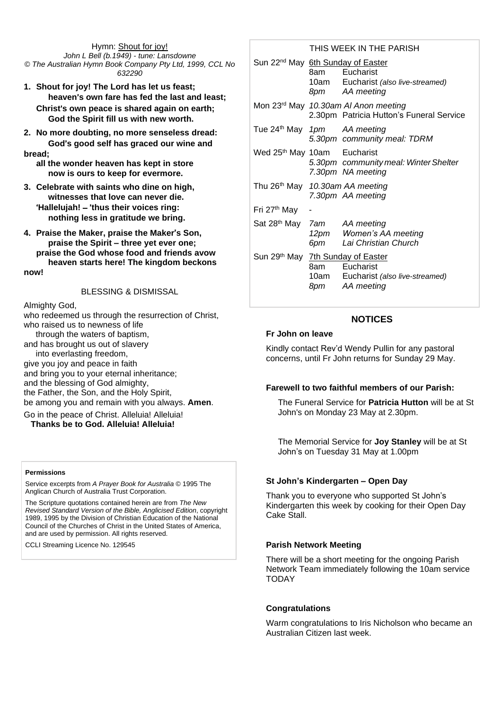Hymn: Shout for joy! *John L Bell (b.1949) - tune: Lansdowne © The Australian Hymn Book Company Pty Ltd, 1999, CCL No 632290*

- **1. Shout for joy! The Lord has let us feast; heaven**'**s own fare has fed the last and least; Christ**'**s own peace is shared again on earth; God the Spirit fill us with new worth.**
- **2. No more doubting, no more senseless dread: God**'**s good self has graced our wine and bread;**

**all the wonder heaven has kept in store now is ours to keep for evermore.**

- **3. Celebrate with saints who dine on high, witnesses that love can never die.** '**Hallelujah!** – '**thus their voices ring: nothing less in gratitude we bring.**
- **4. Praise the Maker, praise the Maker**'**s Son, praise the Spirit – three yet ever one; praise the God whose food and friends avow heaven starts here! The kingdom beckons now!**

#### BLESSING & DISMISSAL

Almighty God,

who redeemed us through the resurrection of Christ, who raised us to newness of life

through the waters of baptism,

and has brought us out of slavery into everlasting freedom,

give you joy and peace in faith

and bring you to your eternal inheritance; and the blessing of God almighty, the Father, the Son, and the Holy Spirit,

be among you and remain with you always. **Amen**.

Go in the peace of Christ. Alleluia! Alleluia! **Thanks be to God. Alleluia! Alleluia!**

#### **Permissions**

Service excerpts from *A Prayer Book for Australia* © 1995 The Anglican Church of Australia Trust Corporation.

The Scripture quotations contained herein are from *The New Revised Standard Version of the Bible, Anglicised Edition*, copyright 1989, 1995 by the Division of Christian Education of the National Council of the Churches of Christ in the United States of America, and are used by permission. All rights reserved.

CCLI Streaming Licence No. 129545

### THIS WEEK IN THE PARISH

| Sun 22 <sup>nd</sup> May 6th Sunday of Easter |       | 8am Eucharist<br>10am Eucharist (also live-streamed)<br>8pm AA meeting           |
|-----------------------------------------------|-------|----------------------------------------------------------------------------------|
|                                               |       | Mon 23rd May 10.30am AI Anon meeting<br>2.30pm Patricia Hutton's Funeral Service |
| Tue 24 <sup>th</sup> May 1pm AA meeting       |       | 5.30pm community meal: TDRM                                                      |
| Wed 25 <sup>th</sup> May 10am Eucharist       |       | 5.30pm community meal: Winter Shelter<br>7.30pm NA meeting                       |
| Thu 26 <sup>th</sup> May 10.30am AA meeting   |       | 7.30pm AA meeting                                                                |
| Fri 27 <sup>th</sup> May                      |       |                                                                                  |
| Sat 28 <sup>th</sup> May 7am AA meeting       | 6рт — | 12pm Women's AA meeting<br>Lai Christian Church                                  |
| Sun 29th May 7th Sunday of Easter             |       | 8am Eucharist<br>10am Eucharist (also live-streamed)<br>8pm AA meeting           |

# **NOTICES**

### **Fr John on leave**

Kindly contact Rev'd Wendy Pullin for any pastoral concerns, until Fr John returns for Sunday 29 May.

### **Farewell to two faithful members of our Parish:**

The Funeral Service for **Patricia Hutton** will be at St John's on Monday 23 May at 2.30pm.

The Memorial Service for **Joy Stanley** will be at St John's on Tuesday 31 May at 1.00pm

### **St John's Kindergarten – Open Day**

Thank you to everyone who supported St John's Kindergarten this week by cooking for their Open Day Cake Stall.

### **Parish Network Meeting**

There will be a short meeting for the ongoing Parish Network Team immediately following the 10am service **TODAY** 

#### **Congratulations**

Warm congratulations to Iris Nicholson who became an Australian Citizen last week.